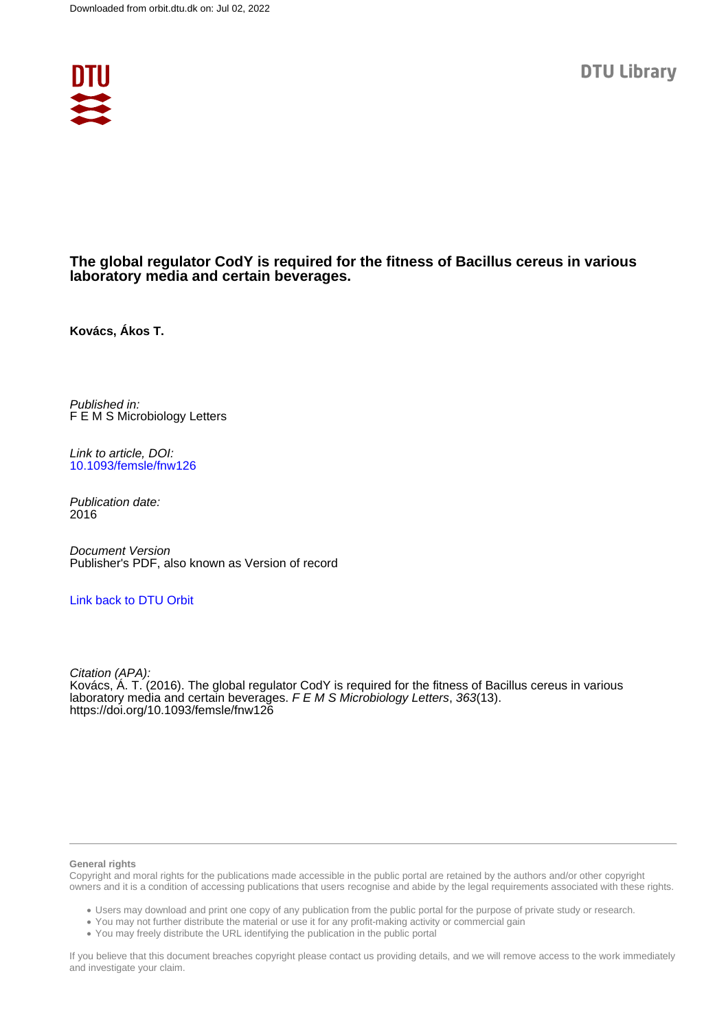

# **The global regulator CodY is required for the fitness of Bacillus cereus in various laboratory media and certain beverages.**

**Kovács, Ákos T.**

Published in: F E M S Microbiology Letters

Link to article, DOI: [10.1093/femsle/fnw126](https://doi.org/10.1093/femsle/fnw126)

Publication date: 2016

Document Version Publisher's PDF, also known as Version of record

# [Link back to DTU Orbit](https://orbit.dtu.dk/en/publications/19543668-a209-4941-8f7d-970c4288795c)

Citation (APA): Kovács, Á. T. (2016). The global regulator CodY is required for the fitness of Bacillus cereus in various laboratory media and certain beverages. F E M S Microbiology Letters, 363(13). <https://doi.org/10.1093/femsle/fnw126>

#### **General rights**

Copyright and moral rights for the publications made accessible in the public portal are retained by the authors and/or other copyright owners and it is a condition of accessing publications that users recognise and abide by the legal requirements associated with these rights.

Users may download and print one copy of any publication from the public portal for the purpose of private study or research.

- You may not further distribute the material or use it for any profit-making activity or commercial gain
- You may freely distribute the URL identifying the publication in the public portal

If you believe that this document breaches copyright please contact us providing details, and we will remove access to the work immediately and investigate your claim.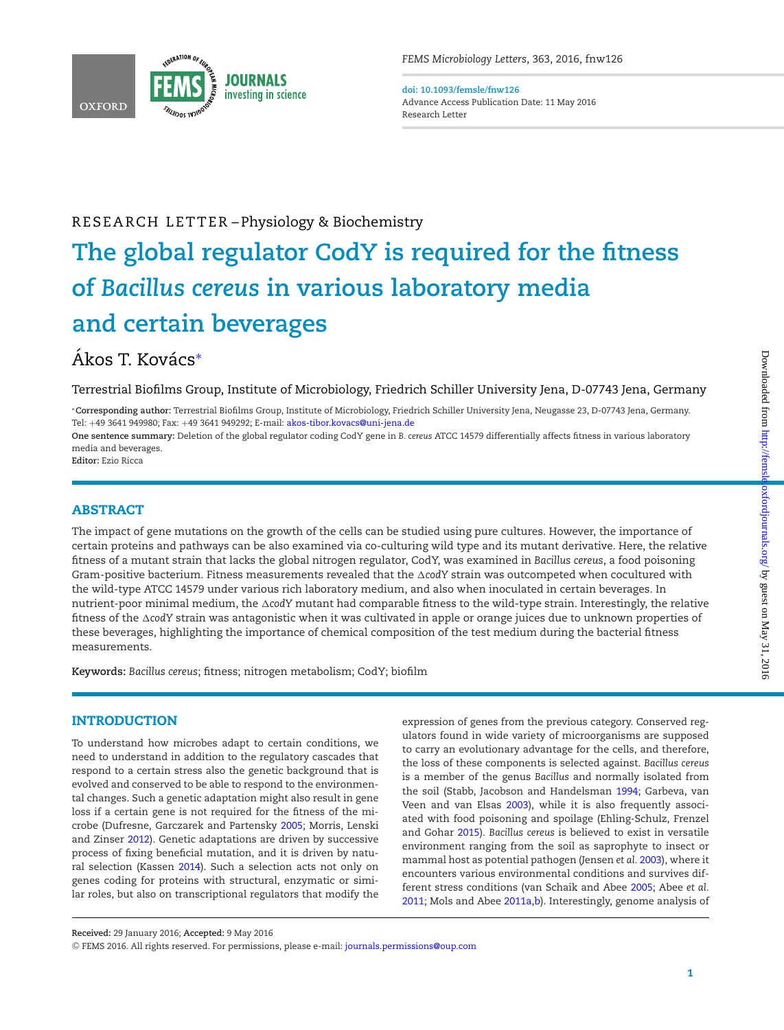

**doi: 10.1093/femsle/fnw126** Advance Access Publication Date: 11 May 2016 Research Letter

# RESEARCH LETTER-Physiology & Biochemistry

# **The global regulator CodY is required for the fitness of** *Bacillus cereus* **in various laboratory media and certain beverages**

# Ákos T. Kovács\*

Terrestrial Biofilms Group, Institute of Microbiology, Friedrich Schiller University Jena, D-07743 Jena, Germany

<span id="page-1-0"></span>∗**Corresponding author:** Terrestrial Biofilms Group, Institute of Microbiology, Friedrich Schiller University Jena, Neugasse 23, D-07743 Jena, Germany. Tel: +49 3641 949980; Fax: +49 3641 949292; E-mail: [akos-tibor.kovacs@uni-jena.de](mailto:akos-tibor.kovacs@uni-jena.de)

**One sentence summary:** Deletion of the global regulator coding CodY gene in *B. cereus* ATCC 14579 differentially affects fitness in various laboratory media and beverages.

**Editor:** Ezio Ricca

# **ABSTRACT**

The impact of gene mutations on the growth of the cells can be studied using pure cultures. However, the importance of certain proteins and pathways can be also examined via co-culturing wild type and its mutant derivative. Here, the relative fitness of a mutant strain that lacks the global nitrogen regulator, CodY, was examined in *Bacillus cereus*, a food poisoning Gram-positive bacterium. Fitness measurements revealed that the AcodY strain was outcompeted when cocultured with the wild-type ATCC 14579 under various rich laboratory medium, and also when inoculated in certain beverages. In nutrient-poor minimal medium, the ∆codY mutant had comparable fitness to the wild-type strain. Interestingly, the relative fitness of the ∆codY strain was antagonistic when it was cultivated in apple or orange juices due to unknown properties of these beverages, highlighting the importance of chemical composition of the test medium during the bacterial fitness measurements.

**Keywords:** *Bacillus cereus*; fitness; nitrogen metabolism; CodY; biofilm

## **INTRODUCTION**

To understand how microbes adapt to certain conditions, we need to understand in addition to the regulatory cascades that respond to a certain stress also the genetic background that is evolved and conserved to be able to respond to the environmental changes. Such a genetic adaptation might also result in gene loss if a certain gene is not required for the fitness of the microbe (Dufresne, Garczarek and Partensky [2005;](#page-6-0) Morris, Lenski and Zinser [2012\)](#page-6-1). Genetic adaptations are driven by successive process of fixing beneficial mutation, and it is driven by natural selection (Kassen [2014\)](#page-6-2). Such a selection acts not only on genes coding for proteins with structural, enzymatic or similar roles, but also on transcriptional regulators that modify the expression of genes from the previous category. Conserved regulators found in wide variety of microorganisms are supposed to carry an evolutionary advantage for the cells, and therefore, the loss of these components is selected against. *Bacillus cereus* is a member of the genus *Bacillus* and normally isolated from the soil (Stabb, Jacobson and Handelsman [1994;](#page-6-3) Garbeva, van Veen and van Elsas [2003\)](#page-6-4), while it is also frequently associated with food poisoning and spoilage (Ehling-Schulz, Frenzel and Gohar [2015\)](#page-6-5). *Bacillus cereus* is believed to exist in versatile environment ranging from the soil as saprophyte to insect or mammal host as potential pathogen (Jensen *et al.* [2003\)](#page-6-6), where it encounters various environmental conditions and survives different stress conditions (van Schaik and Abee [2005;](#page-6-7) Abee *et al.* [2011;](#page-6-8) Mols and Abee [2011a](#page-6-9)[,b\)](#page-6-10). Interestingly, genome analysis of

**Received:** 29 January 2016; **Accepted:** 9 May 2016

<sup>C</sup> FEMS 2016. All rights reserved. For permissions, please e-mail: [journals.permissions@oup.com](mailto:journals.permissions@oup.com)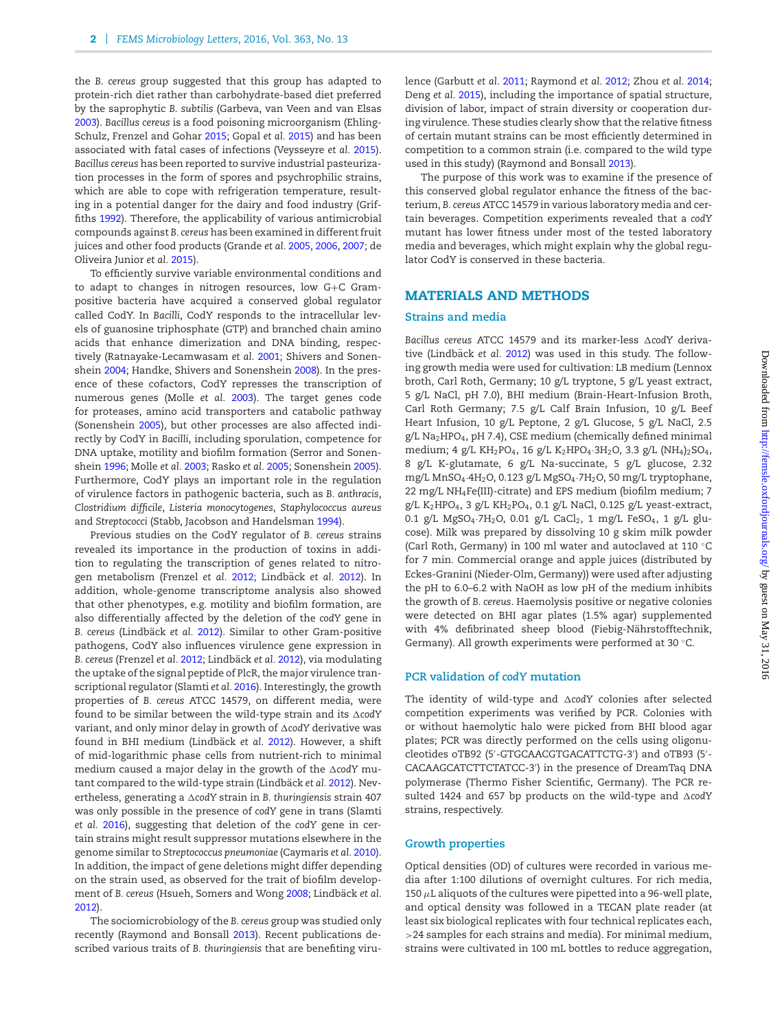the *B. cereus* group suggested that this group has adapted to protein-rich diet rather than carbohydrate-based diet preferred by the saprophytic *B. subtilis* (Garbeva, van Veen and van Elsas [2003\)](#page-6-4). *Bacillus cereus* is a food poisoning microorganism (Ehling-Schulz, Frenzel and Gohar [2015;](#page-6-5) Gopal *et al.* [2015\)](#page-6-11) and has been associated with fatal cases of infections (Veysseyre *et al.* [2015\)](#page-6-12). *Bacillus cereus* has been reported to survive industrial pasteurization processes in the form of spores and psychrophilic strains, which are able to cope with refrigeration temperature, resulting in a potential danger for the dairy and food industry (Griffiths [1992\)](#page-6-13). Therefore, the applicability of various antimicrobial compounds against *B. cereus* has been examined in different fruit juices and other food products (Grande *et al.* [2005,](#page-6-14) [2006,](#page-6-15) [2007;](#page-6-16) de Oliveira Junior *et al.* [2015\)](#page-6-17).

To efficiently survive variable environmental conditions and to adapt to changes in nitrogen resources, low G+C Grampositive bacteria have acquired a conserved global regulator called CodY. In *Bacilli*, CodY responds to the intracellular levels of guanosine triphosphate (GTP) and branched chain amino acids that enhance dimerization and DNA binding, respectively (Ratnayake-Lecamwasam *et al.* [2001;](#page-6-18) Shivers and Sonenshein [2004;](#page-6-19) Handke, Shivers and Sonenshein [2008\)](#page-6-20). In the presence of these cofactors, CodY represses the transcription of numerous genes (Molle *et al.* [2003\)](#page-6-21). The target genes code for proteases, amino acid transporters and catabolic pathway (Sonenshein [2005\)](#page-6-22), but other processes are also affected indirectly by CodY in *Bacilli*, including sporulation, competence for DNA uptake, motility and biofilm formation (Serror and Sonenshein [1996;](#page-6-23) Molle *et al.* [2003;](#page-6-21) Rasko *et al.* [2005;](#page-6-24) Sonenshein [2005\)](#page-6-22). Furthermore, CodY plays an important role in the regulation of virulence factors in pathogenic bacteria, such as *B. anthracis*, *Clostridium difficile*, *Listeria monocytogenes*, *Staphylococcus aureus* and *Streptococci* (Stabb, Jacobson and Handelsman [1994\)](#page-6-3).

Previous studies on the CodY regulator of *B. cereus* strains revealed its importance in the production of toxins in addition to regulating the transcription of genes related to nitrogen metabolism (Frenzel *et al.* [2012;](#page-6-25) Lindbäck et al. [2012\)](#page-6-26). In addition, whole-genome transcriptome analysis also showed that other phenotypes, e.g. motility and biofilm formation, are also differentially affected by the deletion of the *codY* gene in **B.** cereus (Lindbäck et al. [2012\)](#page-6-26). Similar to other Gram-positive pathogens, CodY also influences virulence gene expression in *B. cereus* (Frenzel *et al.* [2012;](#page-6-25) Lindbäck *et al.* [2012\)](#page-6-26), via modulating the uptake of the signal peptide of PlcR, the major virulence transcriptional regulator (Slamti *et al.* [2016\)](#page-6-27). Interestingly, the growth properties of *B. cereus* ATCC 14579, on different media, were found to be similar between the wild-type strain and its -*codY* variant, and only minor delay in growth of ∆codY derivative was found in BHI medium (Lindbäck et al. [2012\)](#page-6-26). However, a shift of mid-logarithmic phase cells from nutrient-rich to minimal medium caused a major delay in the growth of the ∆codY mu-tant compared to the wild-type strain (Lindbäck et al. [2012\)](#page-6-26). Nevertheless, generating a ∆codY strain in *B. thuringiensis str*ain 407 was only possible in the presence of *codY* gene in trans (Slamti *et al.* [2016\)](#page-6-27), suggesting that deletion of the *codY* gene in certain strains might result suppressor mutations elsewhere in the genome similar to *Streptococcus pneumoniae* (Caymaris *et al.* [2010\)](#page-6-28). In addition, the impact of gene deletions might differ depending on the strain used, as observed for the trait of biofilm development of *B. cereus* (Hsueh, Somers and Wong [2008;](#page-6-29) Lindbäck et al. [2012\)](#page-6-26).

The sociomicrobiology of the *B. cereus* group was studied only recently (Raymond and Bonsall [2013\)](#page-6-30). Recent publications described various traits of *B. thuringiensis* that are benefiting virulence (Garbutt *et al.* [2011;](#page-6-31) Raymond *et al.* [2012;](#page-6-32) Zhou *et al.* [2014;](#page-6-33) Deng *et al.* [2015\)](#page-6-34), including the importance of spatial structure, division of labor, impact of strain diversity or cooperation during virulence. These studies clearly show that the relative fitness of certain mutant strains can be most efficiently determined in competition to a common strain (i.e. compared to the wild type used in this study) (Raymond and Bonsall [2013\)](#page-6-30).

The purpose of this work was to examine if the presence of this conserved global regulator enhance the fitness of the bacterium, *B. cereus* ATCC 14579 in various laboratory media and certain beverages. Competition experiments revealed that a *codY* mutant has lower fitness under most of the tested laboratory media and beverages, which might explain why the global regulator CodY is conserved in these bacteria.

#### **MATERIALS AND METHODS**

#### **Strains and media**

Bacillus cereus ATCC 14579 and its marker-less ΔcodY deriva-tive (Lindbäck et al. [2012\)](#page-6-26) was used in this study. The following growth media were used for cultivation: LB medium (Lennox broth, Carl Roth, Germany; 10 g/L tryptone, 5 g/L yeast extract, 5 g/L NaCl, pH 7.0), BHI medium (Brain-Heart-Infusion Broth, Carl Roth Germany; 7.5 g/L Calf Brain Infusion, 10 g/L Beef Heart Infusion, 10 g/L Peptone, 2 g/L Glucose, 5 g/L NaCl, 2.5 g/L Na2HPO4, pH 7.4), CSE medium (chemically defined minimal medium; 4 g/L KH<sub>2</sub>PO<sub>4</sub>, 16 g/L K<sub>2</sub>HPO<sub>4</sub>·3H<sub>2</sub>O, 3.3 g/L (NH<sub>4</sub>)<sub>2</sub>SO<sub>4</sub>, 8 g/L K-glutamate, 6 g/L Na-succinate, 5 g/L glucose, 2.32 mg/L MnSO<sub>4</sub>.4H<sub>2</sub>O, 0.123 g/L MgSO<sub>4</sub>.7H<sub>2</sub>O, 50 mg/L tryptophane, 22 mg/L NH4Fe(III)-citrate) and EPS medium (biofilm medium; 7 g/L K<sub>2</sub>HPO<sub>4</sub>, 3 g/L KH<sub>2</sub>PO<sub>4</sub>, 0.1 g/L NaCl, 0.125 g/L yeast-extract, 0.1 g/L MgSO<sub>4</sub>·7H<sub>2</sub>O, 0.01 g/L CaCl<sub>2</sub>, 1 mg/L FeSO<sub>4</sub>, 1 g/L glucose). Milk was prepared by dissolving 10 g skim milk powder (Carl Roth, Germany) in 100 ml water and autoclaved at 110 ◦C for 7 min. Commercial orange and apple juices (distributed by Eckes-Granini (Nieder-Olm, Germany)) were used after adjusting the pH to 6.0–6.2 with NaOH as low pH of the medium inhibits the growth of *B. cereus*. Haemolysis positive or negative colonies were detected on BHI agar plates (1.5% agar) supplemented with 4% defibrinated sheep blood (Fiebig-Nährstofftechnik, Germany). All growth experiments were performed at 30 ◦C.

#### **PCR validation of** *codY* **mutation**

The identity of wild-type and ∆codY colonies after selected competition experiments was verified by PCR. Colonies with or without haemolytic halo were picked from BHI blood agar plates; PCR was directly performed on the cells using oligonucleotides oTB92 (5 -GTGCAACGTGACATTCTG-3 ) and oTB93 (5 - CACAAGCATCTTCTATCC-3 ) in the presence of DreamTaq DNA polymerase (Thermo Fisher Scientific, Germany). The PCR resulted 1424 and 657 bp products on the wild-type and  $\Delta$ codY strains, respectively.

#### **Growth properties**

Optical densities (OD) of cultures were recorded in various media after 1:100 dilutions of overnight cultures. For rich media, 150  $\mu$ L aliquots of the cultures were pipetted into a 96-well plate, and optical density was followed in a TECAN plate reader (at least six biological replicates with four technical replicates each, >24 samples for each strains and media). For minimal medium, strains were cultivated in 100 mL bottles to reduce aggregation,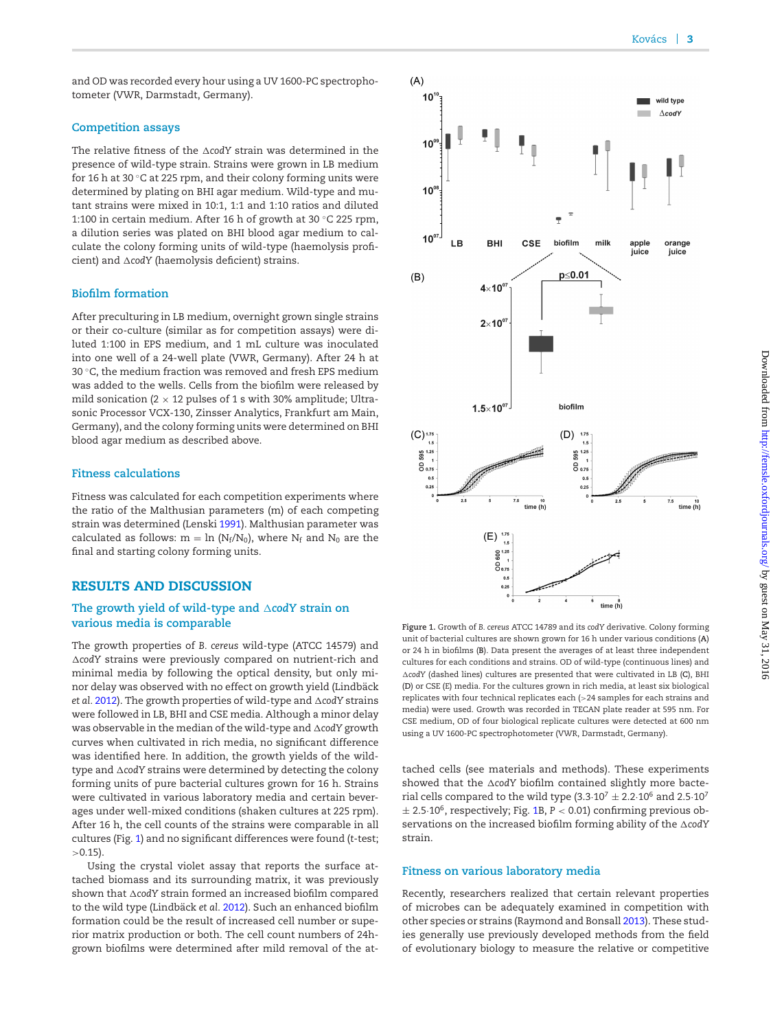and OD was recorded every hour using a UV 1600-PC spectrophotometer (VWR, Darmstadt, Germany).

#### **Competition assays**

The relative fitness of the  $\Delta$ codY strain was determined in the presence of wild-type strain. Strains were grown in LB medium for 16 h at 30 ◦C at 225 rpm, and their colony forming units were determined by plating on BHI agar medium. Wild-type and mutant strains were mixed in 10:1, 1:1 and 1:10 ratios and diluted 1:100 in certain medium. After 16 h of growth at 30 ◦C 225 rpm, a dilution series was plated on BHI blood agar medium to calculate the colony forming units of wild-type (haemolysis proficient) and -*codY* (haemolysis deficient) strains.

#### **Biofilm formation**

After preculturing in LB medium, overnight grown single strains or their co-culture (similar as for competition assays) were diluted 1:100 in EPS medium, and 1 mL culture was inoculated into one well of a 24-well plate (VWR, Germany). After 24 h at 30 ◦C, the medium fraction was removed and fresh EPS medium was added to the wells. Cells from the biofilm were released by mild sonication (2  $\times$  12 pulses of 1 s with 30% amplitude; Ultrasonic Processor VCX-130, Zinsser Analytics, Frankfurt am Main, Germany), and the colony forming units were determined on BHI blood agar medium as described above.

#### **Fitness calculations**

Fitness was calculated for each competition experiments where the ratio of the Malthusian parameters (m) of each competing strain was determined (Lenski [1991\)](#page-6-35). Malthusian parameter was calculated as follows:  $m = \ln (N_f/N_0)$ , where  $N_f$  and  $N_0$  are the final and starting colony forming units.

## **RESULTS AND DISCUSSION**

#### The growth yield of wild-type and  $\triangle$ codY strain on **various media is comparable**

The growth properties of *B. cereus* wild-type (ATCC 14579) and -*codY* strains were previously compared on nutrient-rich and minimal media by following the optical density, but only minor delay was observed with no effect on growth yield (Lindbäck et al. [2012\)](#page-6-26). The growth properties of wild-type and  $\Delta$ codY strains were followed in LB, BHI and CSE media. Although a minor delay was observable in the median of the wild-type and  $\Delta$ codY growth curves when cultivated in rich media, no significant difference was identified here. In addition, the growth yields of the wildtype and  $\Delta$ codY strains were determined by detecting the colony forming units of pure bacterial cultures grown for 16 h. Strains were cultivated in various laboratory media and certain beverages under well-mixed conditions (shaken cultures at 225 rpm). After 16 h, the cell counts of the strains were comparable in all cultures (Fig. [1\)](#page-3-0) and no significant differences were found (*t*-test;  $>0.15$ ).

Using the crystal violet assay that reports the surface attached biomass and its surrounding matrix, it was previously shown that -*codY* strain formed an increased biofilm compared to the wild type (Lindbäck et al. [2012\)](#page-6-26). Such an enhanced biofilm formation could be the result of increased cell number or superior matrix production or both. The cell count numbers of 24hgrown biofilms were determined after mild removal of the at-

<span id="page-3-0"></span>

**Figure 1.** Growth of *B. cereus* ATCC 14789 and its *codY* derivative. Colony forming unit of bacterial cultures are shown grown for 16 h under various conditions (**A**) or 24 h in biofilms (**B**). Data present the averages of at least three independent cultures for each conditions and strains. OD of wild-type (continuous lines) and -*codY* (dashed lines) cultures are presented that were cultivated in LB (**C**), BHI (**D**) or CSE (E) media. For the cultures grown in rich media, at least six biological replicates with four technical replicates each (>24 samples for each strains and media) were used. Growth was recorded in TECAN plate reader at 595 nm. For CSE medium, OD of four biological replicate cultures were detected at 600 nm using a UV 1600-PC spectrophotometer (VWR, Darmstadt, Germany).

tached cells (see materials and methods). These experiments showed that the  $\Delta$ codY biofilm contained slightly more bacterial cells compared to the wild type  $(3.3\cdot10^7 \pm 2.2\cdot10^6$  and  $2.5\cdot10^7$  $\pm$  2.5 $\cdot$ 10<sup>6</sup>, respectively; Fig. [1B](#page-3-0), P < 0.01) confirming previous observations on the increased biofilm forming ability of the  $\Delta$ codY strain.

#### **Fitness on various laboratory media**

Recently, researchers realized that certain relevant properties of microbes can be adequately examined in competition with other species or strains (Raymond and Bonsall [2013\)](#page-6-30). These studies generally use previously developed methods from the field of evolutionary biology to measure the relative or competitive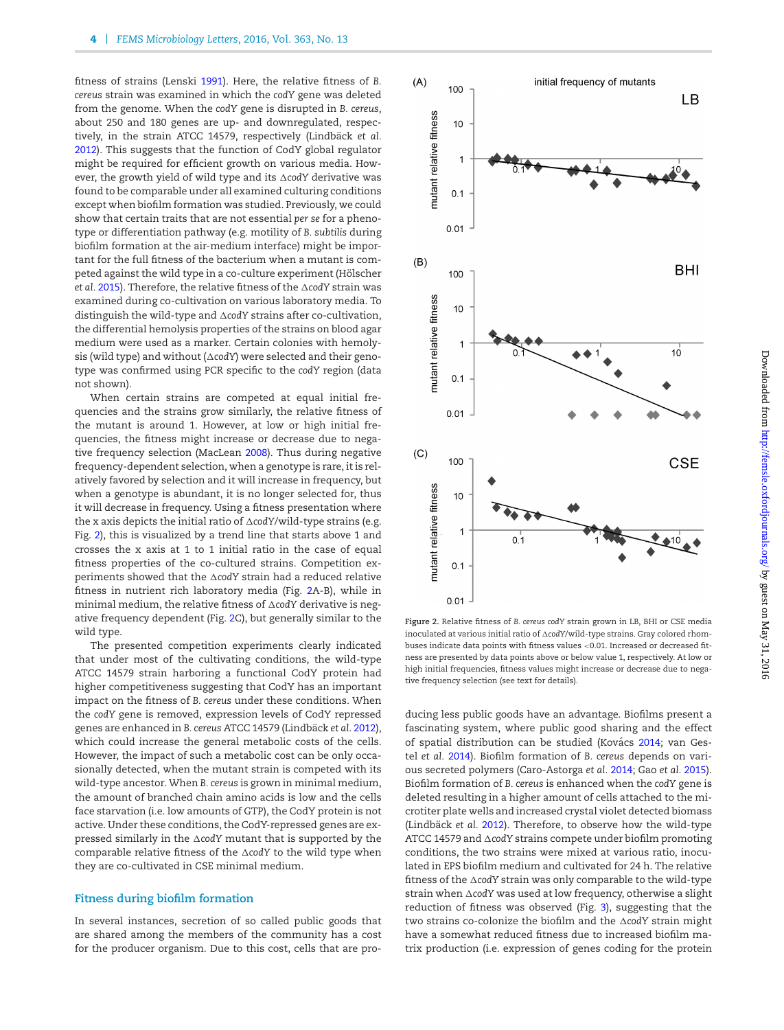fitness of strains (Lenski [1991\)](#page-6-35). Here, the relative fitness of *B. cereus* strain was examined in which the *codY* gene was deleted from the genome. When the *codY* gene is disrupted in *B. cereus*, about 250 and 180 genes are up- and downregulated, respectively, in the strain ATCC 14579, respectively (Lindbäck et al. [2012\)](#page-6-26). This suggests that the function of CodY global regulator might be required for efficient growth on various media. However, the growth yield of wild type and its ∆codY derivative was found to be comparable under all examined culturing conditions except when biofilm formation was studied. Previously, we could show that certain traits that are not essential *per se* for a phenotype or differentiation pathway (e.g. motility of *B. subtilis* during biofilm formation at the air-medium interface) might be important for the full fitness of the bacterium when a mutant is competed against the wild type in a co-culture experiment (Hölscher *et al.* [2015\)](#page-6-36). Therefore, the relative fitness of the -*codY* strain was examined during co-cultivation on various laboratory media. To distinguish the wild-type and -*codY* strains after co-cultivation, the differential hemolysis properties of the strains on blood agar medium were used as a marker. Certain colonies with hemolysis (wild type) and without (∆codY) were selected and their genotype was confirmed using PCR specific to the *codY* region (data not shown).

When certain strains are competed at equal initial frequencies and the strains grow similarly, the relative fitness of the mutant is around 1. However, at low or high initial frequencies, the fitness might increase or decrease due to negative frequency selection (MacLean [2008\)](#page-6-37). Thus during negative frequency-dependent selection, when a genotype is rare, it is relatively favored by selection and it will increase in frequency, but when a genotype is abundant, it is no longer selected for, thus it will decrease in frequency. Using a fitness presentation where the x axis depicts the initial ratio of  $\Delta$ codY/wild-type strains (e.g. Fig. [2\)](#page-4-0), this is visualized by a trend line that starts above 1 and crosses the x axis at 1 to 1 initial ratio in the case of equal fitness properties of the co-cultured strains. Competition experiments showed that the ∆codY strain had a reduced relative fitness in nutrient rich laboratory media (Fig. [2A](#page-4-0)-B), while in minimal medium, the relative fitness of  $\Delta$ codY derivative is negative frequency dependent (Fig. [2C](#page-4-0)), but generally similar to the wild type.

The presented competition experiments clearly indicated that under most of the cultivating conditions, the wild-type ATCC 14579 strain harboring a functional CodY protein had higher competitiveness suggesting that CodY has an important impact on the fitness of *B. cereus* under these conditions. When the *codY* gene is removed, expression levels of CodY repressed genes are enhanced in *B. cereus ATCC* 14579 (Lindbäck et al. [2012\)](#page-6-26), which could increase the general metabolic costs of the cells. However, the impact of such a metabolic cost can be only occasionally detected, when the mutant strain is competed with its wild-type ancestor. When *B. cereus* is grown in minimal medium, the amount of branched chain amino acids is low and the cells face starvation (i.e. low amounts of GTP), the CodY protein is not active. Under these conditions, the CodY-repressed genes are expressed similarly in the -*codY* mutant that is supported by the comparable relative fitness of the AcodY to the wild type when they are co-cultivated in CSE minimal medium.

#### **Fitness during biofilm formation**

In several instances, secretion of so called public goods that are shared among the members of the community has a cost for the producer organism. Due to this cost, cells that are pro-

<span id="page-4-0"></span>

**Figure 2.** Relative fitness of *B. cereus codY* strain grown in LB, BHI or CSE media inoculated at various initial ratio of -*codY*/wild-type strains. Gray colored rhombuses indicate data points with fitness values <0.01. Increased or decreased fitness are presented by data points above or below value 1, respectively. At low or high initial frequencies, fitness values might increase or decrease due to negative frequency selection (see text for details).

ducing less public goods have an advantage. Biofilms present a fascinating system, where public good sharing and the effect of spatial distribution can be studied (Kovács [2014;](#page-6-38) van Gestel *et al.* [2014\)](#page-6-39). Biofilm formation of *B. cereus* depends on various secreted polymers (Caro-Astorga *et al.* [2014;](#page-6-40) Gao *et al.* [2015\)](#page-6-41). Biofilm formation of *B. cereus* is enhanced when the *codY* gene is deleted resulting in a higher amount of cells attached to the microtiter plate wells and increased crystal violet detected biomass (Lindbäck et al. [2012\)](#page-6-26). Therefore, to observe how the wild-type ATCC 14579 and ∆codY strains compete under biofilm promoting conditions, the two strains were mixed at various ratio, inoculated in EPS biofilm medium and cultivated for 24 h. The relative fitness of the AcodY strain was only comparable to the wild-type strain when AcodY was used at low frequency, otherwise a slight reduction of fitness was observed (Fig. [3\)](#page-5-0), suggesting that the two strains co-colonize the biofilm and the  $\Delta$ codY strain might have a somewhat reduced fitness due to increased biofilm matrix production (i.e. expression of genes coding for the protein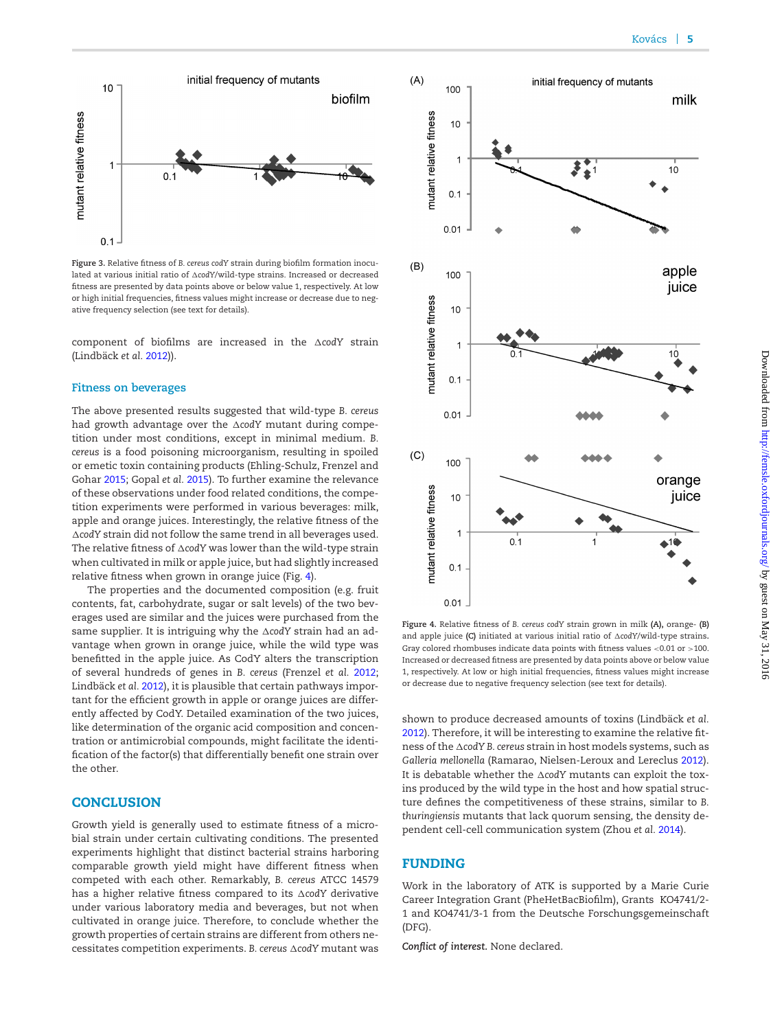<span id="page-5-0"></span>

**Figure 3.** Relative fitness of *B. cereus codY* strain during biofilm formation inoculated at various initial ratio of  $\Delta$ codY/wild-type strains. Increased or decreased fitness are presented by data points above or below value 1, respectively. At low or high initial frequencies, fitness values might increase or decrease due to negative frequency selection (see text for details).

component of biofilms are increased in the  $\Delta$ codY strain (Lindbäck et al. [2012\)](#page-6-26)).

#### **Fitness on beverages**

The above presented results suggested that wild-type *B. cereus* had growth advantage over the ∆codY mutant during competition under most conditions, except in minimal medium. *B. cereus* is a food poisoning microorganism, resulting in spoiled or emetic toxin containing products (Ehling-Schulz, Frenzel and Gohar [2015;](#page-6-5) Gopal *et al.* [2015\)](#page-6-11). To further examine the relevance of these observations under food related conditions, the competition experiments were performed in various beverages: milk, apple and orange juices. Interestingly, the relative fitness of the -*codY* strain did not follow the same trend in all beverages used. The relative fitness of  $\Delta$ codY was lower than the wild-type strain when cultivated in milk or apple juice, but had slightly increased relative fitness when grown in orange juice (Fig. [4\)](#page-5-1).

The properties and the documented composition (e.g. fruit contents, fat, carbohydrate, sugar or salt levels) of the two beverages used are similar and the juices were purchased from the same supplier. It is intriguing why the ∆codY strain had an advantage when grown in orange juice, while the wild type was benefitted in the apple juice. As CodY alters the transcription of several hundreds of genes in *B. cereus* (Frenzel *et al.* [2012;](#page-6-25) Lindbäck et al. [2012\)](#page-6-26), it is plausible that certain pathways important for the efficient growth in apple or orange juices are differently affected by CodY. Detailed examination of the two juices, like determination of the organic acid composition and concentration or antimicrobial compounds, might facilitate the identification of the factor(s) that differentially benefit one strain over the other.

#### **CONCLUSION**

Growth yield is generally used to estimate fitness of a microbial strain under certain cultivating conditions. The presented experiments highlight that distinct bacterial strains harboring comparable growth yield might have different fitness when competed with each other. Remarkably, *B. cereus* ATCC 14579 has a higher relative fitness compared to its ∆codY derivative under various laboratory media and beverages, but not when cultivated in orange juice. Therefore, to conclude whether the growth properties of certain strains are different from others ne- $\alpha$  cessitates competition experiments. *B. cereus*  $\Delta$ *codY* mutant was

<span id="page-5-1"></span>

**Figure 4.** Relative fitness of *B. cereus codY* strain grown in milk **(A),** orange- **(B)** and apple juice **(C)** initiated at various initial ratio of  $\Delta \text{cod} Y/\text{wild-type strains.}$ Gray colored rhombuses indicate data points with fitness values <0.01 or >100. Increased or decreased fitness are presented by data points above or below value 1, respectively. At low or high initial frequencies, fitness values might increase or decrease due to negative frequency selection (see text for details).

shown to produce decreased amounts of toxins (Lindbäck et al. [2012\)](#page-6-26). Therefore, it will be interesting to examine the relative fitness of the -*codY B. cereus* strain in host models systems, such as *Galleria mellonella* (Ramarao, Nielsen-Leroux and Lereclus [2012\)](#page-6-42). It is debatable whether the AcodY mutants can exploit the toxins produced by the wild type in the host and how spatial structure defines the competitiveness of these strains, similar to *B. thuringiensis* mutants that lack quorum sensing, the density dependent cell-cell communication system (Zhou *et al.* [2014\)](#page-6-33).

# **FUNDING**

Work in the laboratory of ATK is supported by a Marie Curie Career Integration Grant (PheHetBacBiofilm), Grants KO4741/2- 1 and KO4741/3-1 from the Deutsche Forschungsgemeinschaft (DFG).

*Conflict of interest.* None declared.